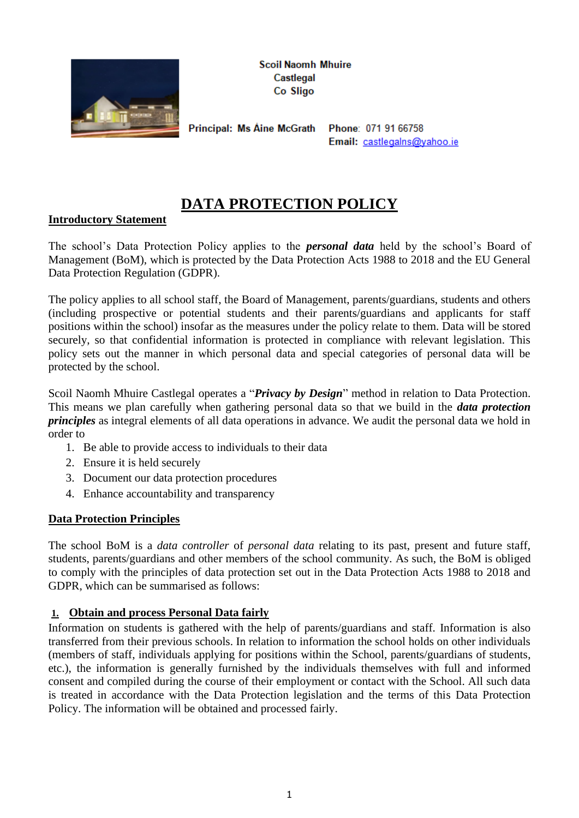

**Scoil Naomh Mhuire** Castlegal Co Sligo

Principal: Ms Aine McGrath

Phone: 071 91 66758 Email: castlegalns@yahoo.ie

# **DATA PROTECTION POLICY**

#### **Introductory Statement**

The school's Data Protection Policy applies to the *personal data* held by the school's Board of Management (BoM), which is protected by the Data Protection Acts 1988 to 2018 and the EU General Data Protection Regulation (GDPR).

The policy applies to all school staff, the Board of Management, parents/guardians, students and others (including prospective or potential students and their parents/guardians and applicants for staff positions within the school) insofar as the measures under the policy relate to them. Data will be stored securely, so that confidential information is protected in compliance with relevant legislation. This policy sets out the manner in which personal data and special categories of personal data will be protected by the school.

Scoil Naomh Mhuire Castlegal operates a "*Privacy by Design*" method in relation to Data Protection. This means we plan carefully when gathering personal data so that we build in the *data protection principles* as integral elements of all data operations in advance. We audit the personal data we hold in order to

- 1. Be able to provide access to individuals to their data
- 2. Ensure it is held securely
- 3. Document our data protection procedures
- 4. Enhance accountability and transparency

#### **Data Protection Principles**

The school BoM is a *data controller* of *personal data* relating to its past, present and future staff, students, parents/guardians and other members of the school community. As such, the BoM is obliged to comply with the principles of data protection set out in the Data Protection Acts 1988 to 2018 and GDPR, which can be summarised as follows:

## **1. Obtain and process Personal Data fairly**

Information on students is gathered with the help of parents/guardians and staff. Information is also transferred from their previous schools. In relation to information the school holds on other individuals (members of staff, individuals applying for positions within the School, parents/guardians of students, etc.), the information is generally furnished by the individuals themselves with full and informed consent and compiled during the course of their employment or contact with the School. All such data is treated in accordance with the Data Protection legislation and the terms of this Data Protection Policy. The information will be obtained and processed fairly.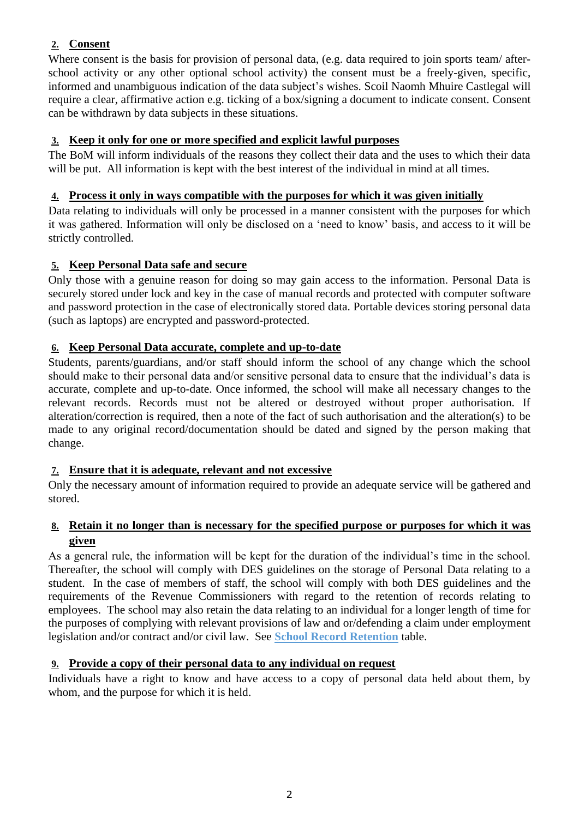# **2. Consent**

Where consent is the basis for provision of personal data, (e.g. data required to join sports team/ afterschool activity or any other optional school activity) the consent must be a freely-given, specific, informed and unambiguous indication of the data subject's wishes. Scoil Naomh Mhuire Castlegal will require a clear, affirmative action e.g. ticking of a box/signing a document to indicate consent. Consent can be withdrawn by data subjects in these situations.

## **3. Keep it only for one or more specified and explicit lawful purposes**

The BoM will inform individuals of the reasons they collect their data and the uses to which their data will be put. All information is kept with the best interest of the individual in mind at all times.

## **4. Process it only in ways compatible with the purposes for which it was given initially**

Data relating to individuals will only be processed in a manner consistent with the purposes for which it was gathered. Information will only be disclosed on a 'need to know' basis, and access to it will be strictly controlled.

## **5. Keep Personal Data safe and secure**

Only those with a genuine reason for doing so may gain access to the information. Personal Data is securely stored under lock and key in the case of manual records and protected with computer software and password protection in the case of electronically stored data. Portable devices storing personal data (such as laptops) are encrypted and password-protected.

## **6. Keep Personal Data accurate, complete and up-to-date**

Students, parents/guardians, and/or staff should inform the school of any change which the school should make to their personal data and/or sensitive personal data to ensure that the individual's data is accurate, complete and up-to-date. Once informed, the school will make all necessary changes to the relevant records. Records must not be altered or destroyed without proper authorisation. If alteration/correction is required, then a note of the fact of such authorisation and the alteration(s) to be made to any original record/documentation should be dated and signed by the person making that change.

## **7. Ensure that it is adequate, relevant and not excessive**

Only the necessary amount of information required to provide an adequate service will be gathered and stored.

## **8. Retain it no longer than is necessary for the specified purpose or purposes for which it was given**

As a general rule, the information will be kept for the duration of the individual's time in the school. Thereafter, the school will comply with DES guidelines on the storage of Personal Data relating to a student. In the case of members of staff, the school will comply with both DES guidelines and the requirements of the Revenue Commissioners with regard to the retention of records relating to employees. The school may also retain the data relating to an individual for a longer length of time for the purposes of complying with relevant provisions of law and or/defending a claim under employment legislation and/or contract and/or civil law. See **School Record Retention** table.

# **9. Provide a copy of their personal data to any individual on request**

Individuals have a right to know and have access to a copy of personal data held about them, by whom, and the purpose for which it is held.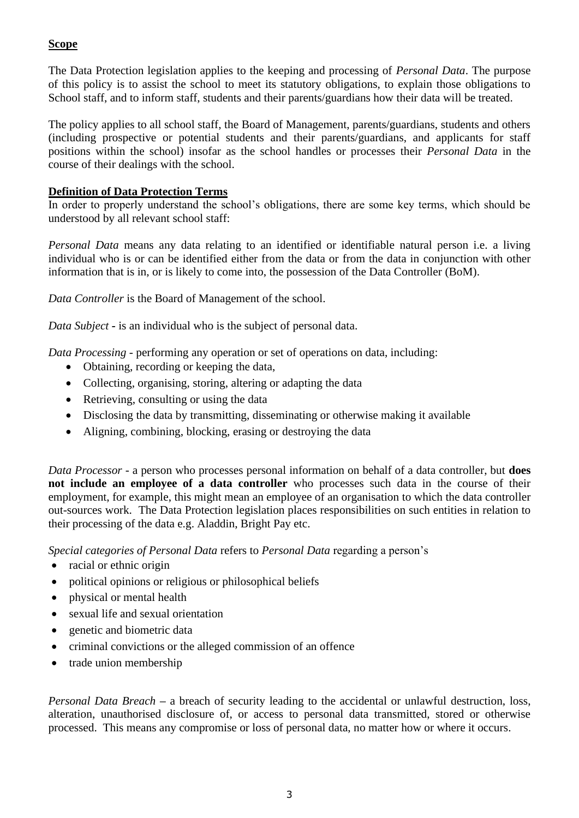## **Scope**

The Data Protection legislation applies to the keeping and processing of *Personal Data*. The purpose of this policy is to assist the school to meet its statutory obligations, to explain those obligations to School staff, and to inform staff, students and their parents/guardians how their data will be treated.

The policy applies to all school staff, the Board of Management, parents/guardians, students and others (including prospective or potential students and their parents/guardians, and applicants for staff positions within the school) insofar as the school handles or processes their *Personal Data* in the course of their dealings with the school.

## **Definition of Data Protection Terms**

In order to properly understand the school's obligations, there are some key terms, which should be understood by all relevant school staff:

*Personal Data* means any data relating to an identified or identifiable natural person i.e. a living individual who is or can be identified either from the data or from the data in conjunction with other information that is in, or is likely to come into, the possession of the Data Controller (BoM).

*Data Controller* is the Board of Management of the school.

*Data Subject -* is an individual who is the subject of personal data.

*Data Processing* - performing any operation or set of operations on data, including:

- Obtaining, recording or keeping the data,
- Collecting, organising, storing, altering or adapting the data
- Retrieving, consulting or using the data
- Disclosing the data by transmitting, disseminating or otherwise making it available
- Aligning, combining, blocking, erasing or destroying the data

*Data Processor* - a person who processes personal information on behalf of a data controller, but **does not include an employee of a data controller** who processes such data in the course of their employment, for example, this might mean an employee of an organisation to which the data controller out-sources work. The Data Protection legislation places responsibilities on such entities in relation to their processing of the data e.g. Aladdin, Bright Pay etc.

*Special categories of Personal Data* refers to *Personal Data* regarding a person's

- racial or ethnic origin
- political opinions or religious or philosophical beliefs
- physical or mental health
- sexual life and sexual orientation
- genetic and biometric data
- criminal convictions or the alleged commission of an offence
- trade union membership

*Personal Data Breach –* a breach of security leading to the accidental or unlawful destruction, loss, alteration, unauthorised disclosure of, or access to personal data transmitted, stored or otherwise processed. This means any compromise or loss of personal data, no matter how or where it occurs.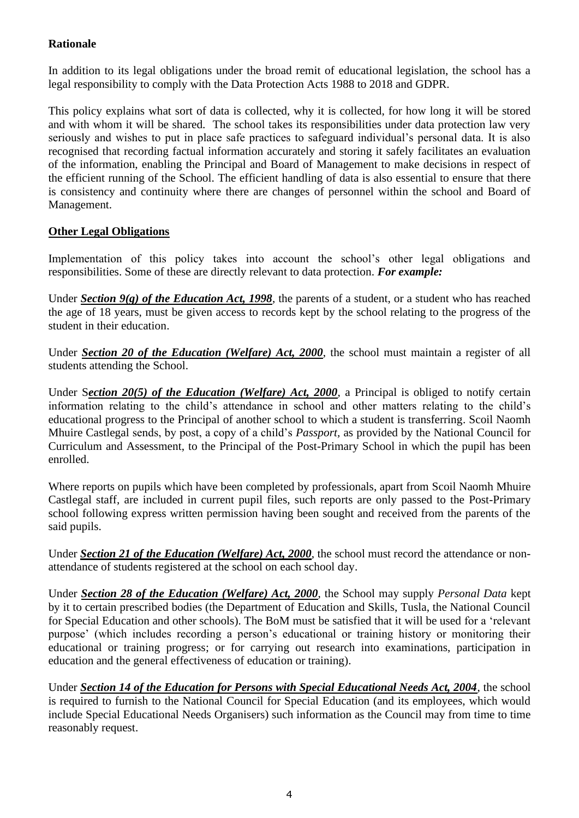## **Rationale**

In addition to its legal obligations under the broad remit of educational legislation, the school has a legal responsibility to comply with the Data Protection Acts 1988 to 2018 and GDPR.

This policy explains what sort of data is collected, why it is collected, for how long it will be stored and with whom it will be shared. The school takes its responsibilities under data protection law very seriously and wishes to put in place safe practices to safeguard individual's personal data. It is also recognised that recording factual information accurately and storing it safely facilitates an evaluation of the information, enabling the Principal and Board of Management to make decisions in respect of the efficient running of the School. The efficient handling of data is also essential to ensure that there is consistency and continuity where there are changes of personnel within the school and Board of Management.

## **Other Legal Obligations**

Implementation of this policy takes into account the school's other legal obligations and responsibilities. Some of these are directly relevant to data protection. *For example:*

Under *Section 9(g) of the [Education Act, 1998](http://acts2.oireachtas.ie/zza51y1998.1.html)*, the parents of a student, or a student who has reached the age of 18 years, must be given access to records kept by the school relating to the progress of the student in their education.

Under *Section 20 of the [Education \(Welfare\) Act, 2000](http://www.oireachtas.ie/documents/bills28/acts/2000/a2200.pdf)*, the school must maintain a register of all students attending the School.

Under Section 20(5) of the Education (Welfare) Act, 2000, a Principal is obliged to notify certain information relating to the child's attendance in school and other matters relating to the child's educational progress to the Principal of another school to which a student is transferring. Scoil Naomh Mhuire Castlegal sends, by post, a copy of a child's *Passport,* as provided by the National Council for Curriculum and Assessment, to the Principal of the Post-Primary School in which the pupil has been enrolled.

Where reports on pupils which have been completed by professionals, apart from Scoil Naomh Mhuire Castlegal staff, are included in current pupil files, such reports are only passed to the Post-Primary school following express written permission having been sought and received from the parents of the said pupils.

Under *Section 21 of the [Education \(Welfare\) Act, 2000](http://www.oireachtas.ie/documents/bills28/acts/2000/a2200.pdf)*, the school must record the attendance or nonattendance of students registered at the school on each school day.

Under *Section 28 of the [Education \(Welfare\) Act, 2000](http://www.oireachtas.ie/documents/bills28/acts/2000/a2200.pdf)*, the School may supply *Personal Data* kept by it to certain prescribed bodies (the Department of Education and Skills, Tusla, the National Council for Special Education and other schools). The BoM must be satisfied that it will be used for a 'relevant purpose' (which includes recording a person's educational or training history or monitoring their educational or training progress; or for carrying out research into examinations, participation in education and the general effectiveness of education or training).

Under *Section 14 of the Education for Persons with Special Educational Needs Act, 2004*, the school is required to furnish to the National Council for Special Education (and its employees, which would include Special Educational Needs Organisers) such information as the Council may from time to time reasonably request.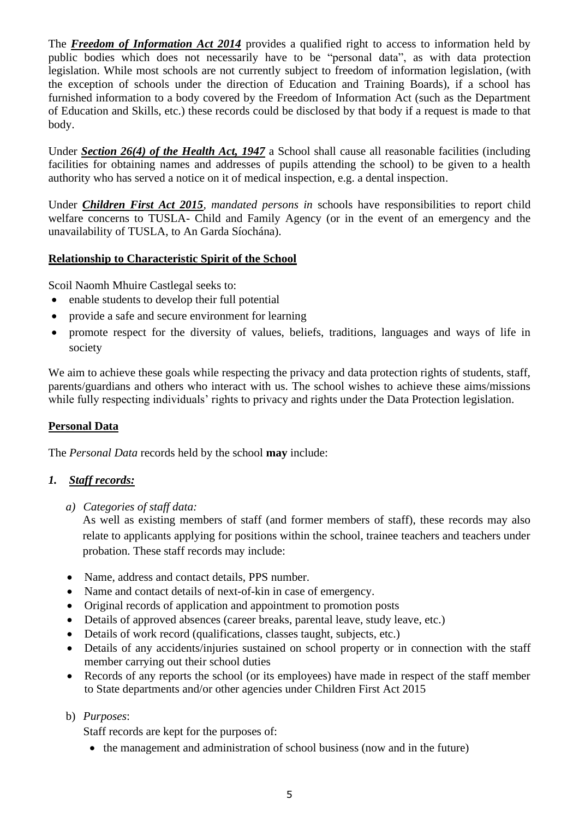The *Freedom of Information Act 2014* provides a qualified right to access to information held by public bodies which does not necessarily have to be "personal data", as with data protection legislation. While most schools are not currently subject to freedom of information legislation, (with the exception of schools under the direction of Education and Training Boards), if a school has furnished information to a body covered by the Freedom of Information Act (such as the Department of Education and Skills, etc.) these records could be disclosed by that body if a request is made to that body.

Under *Section 26(4) of the Health Act, 1947* a School shall cause all reasonable facilities (including facilities for obtaining names and addresses of pupils attending the school) to be given to a health authority who has served a notice on it of medical inspection, e.g. a dental inspection.

Under *Children First Act 2015, mandated persons in* schools have responsibilities to report child welfare concerns to TUSLA- Child and Family Agency (or in the event of an emergency and the unavailability of TUSLA, to An Garda Síochána).

## **Relationship to Characteristic Spirit of the School**

Scoil Naomh Mhuire Castlegal seeks to:

- enable students to develop their full potential
- provide a safe and secure environment for learning
- promote respect for the diversity of values, beliefs, traditions, languages and ways of life in society

We aim to achieve these goals while respecting the privacy and data protection rights of students, staff, parents/guardians and others who interact with us. The school wishes to achieve these aims/missions while fully respecting individuals' rights to privacy and rights under the Data Protection legislation.

## **Personal Data**

The *Personal Data* records held by the school **may** include:

## *1. Staff records:*

*a) Categories of staff data:*

As well as existing members of staff (and former members of staff), these records may also relate to applicants applying for positions within the school, trainee teachers and teachers under probation. These staff records may include:

- Name, address and contact details, PPS number.
- Name and contact details of next-of-kin in case of emergency.
- Original records of application and appointment to promotion posts
- Details of approved absences (career breaks, parental leave, study leave, etc.)
- Details of work record (qualifications, classes taught, subjects, etc.)
- Details of any accidents/injuries sustained on school property or in connection with the staff member carrying out their school duties
- Records of any reports the school (or its employees) have made in respect of the staff member to State departments and/or other agencies under Children First Act 2015

# b) *Purposes*:

Staff records are kept for the purposes of:

• the management and administration of school business (now and in the future)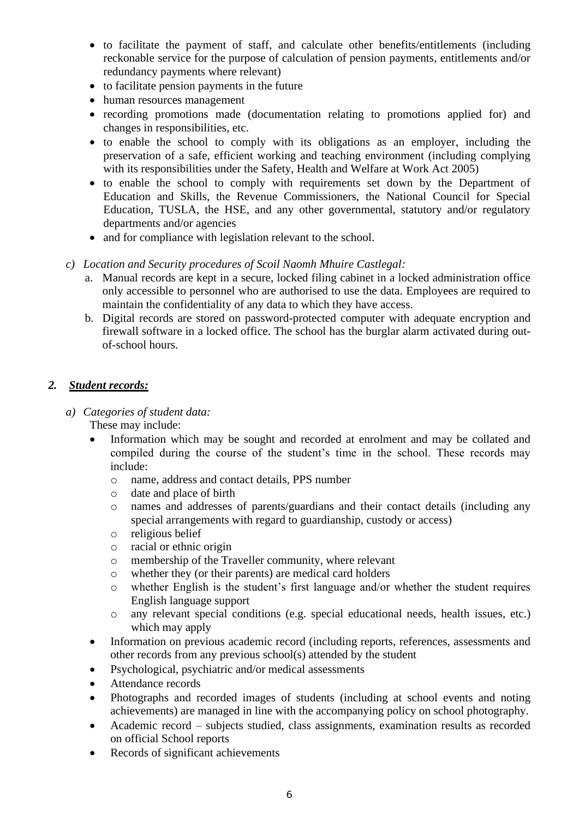- to facilitate the payment of staff, and calculate other benefits/entitlements (including reckonable service for the purpose of calculation of pension payments, entitlements and/or redundancy payments where relevant)
- to facilitate pension payments in the future
- human resources management
- recording promotions made (documentation relating to promotions applied for) and changes in responsibilities, etc.
- to enable the school to comply with its obligations as an employer, including the preservation of a safe, efficient working and teaching environment (including complying with its responsibilities under the Safety, Health and Welfare at Work Act 2005)
- to enable the school to comply with requirements set down by the Department of Education and Skills, the Revenue Commissioners, the National Council for Special Education, TUSLA, the HSE, and any other governmental, statutory and/or regulatory departments and/or agencies
- and for compliance with legislation relevant to the school.

## *c) Location and Security procedures of Scoil Naomh Mhuire Castlegal:*

- a. Manual records are kept in a secure, locked filing cabinet in a locked administration office only accessible to personnel who are authorised to use the data. Employees are required to maintain the confidentiality of any data to which they have access.
- b. Digital records are stored on password-protected computer with adequate encryption and firewall software in a locked office. The school has the burglar alarm activated during outof-school hours.

## *2. Student records:*

- *a) Categories of student data:*  These may include:
	- Information which may be sought and recorded at enrolment and may be collated and compiled during the course of the student's time in the school. These records may include:
		- o name, address and contact details, PPS number
		- o date and place of birth
		- o names and addresses of parents/guardians and their contact details (including any special arrangements with regard to guardianship, custody or access)
		- o religious belief
		- o racial or ethnic origin
		- o membership of the Traveller community, where relevant
		- o whether they (or their parents) are medical card holders
		- o whether English is the student's first language and/or whether the student requires English language support
		- o any relevant special conditions (e.g. special educational needs, health issues, etc.) which may apply
	- Information on previous academic record (including reports, references, assessments and other records from any previous school(s) attended by the student
	- Psychological, psychiatric and/or medical assessments
	- Attendance records
	- Photographs and recorded images of students (including at school events and noting achievements) are managed in line with the accompanying policy on school photography.
	- Academic record subjects studied, class assignments, examination results as recorded on official School reports
	- Records of significant achievements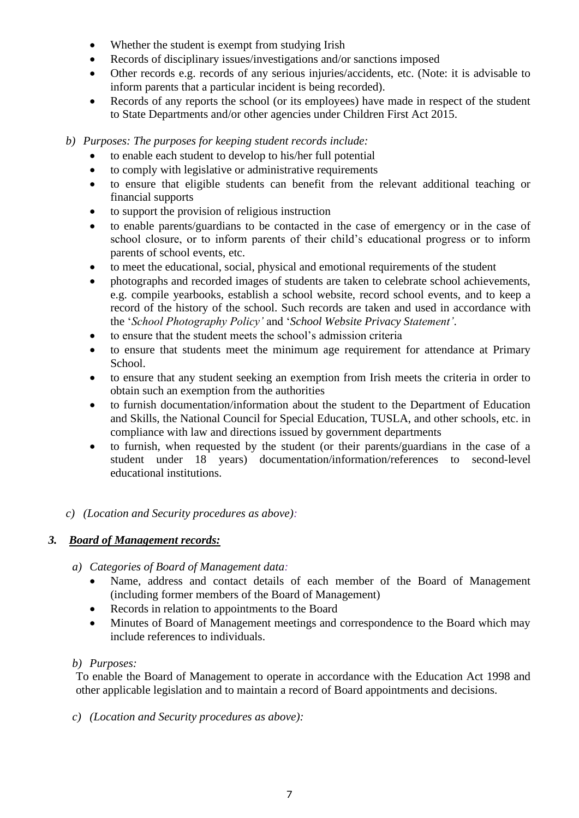- Whether the student is exempt from studying Irish
- Records of disciplinary issues/investigations and/or sanctions imposed
- Other records e.g. records of any serious injuries/accidents, etc. (Note: it is advisable to inform parents that a particular incident is being recorded).
- Records of any reports the school (or its employees) have made in respect of the student to State Departments and/or other agencies under Children First Act 2015.

## *b) Purposes: The purposes for keeping student records include:*

- to enable each student to develop to his/her full potential
- to comply with legislative or administrative requirements
- to ensure that eligible students can benefit from the relevant additional teaching or financial supports
- to support the provision of religious instruction
- to enable parents/guardians to be contacted in the case of emergency or in the case of school closure, or to inform parents of their child's educational progress or to inform parents of school events, etc.
- to meet the educational, social, physical and emotional requirements of the student
- photographs and recorded images of students are taken to celebrate school achievements, e.g. compile yearbooks, establish a school website, record school events, and to keep a record of the history of the school. Such records are taken and used in accordance with the '*School Photography Policy'* and '*School Website Privacy Statement'*.
- to ensure that the student meets the school's admission criteria
- to ensure that students meet the minimum age requirement for attendance at Primary School.
- to ensure that any student seeking an exemption from Irish meets the criteria in order to obtain such an exemption from the authorities
- to furnish documentation/information about the student to the Department of Education and Skills, the National Council for Special Education, TUSLA, and other schools, etc. in compliance with law and directions issued by government departments
- to furnish, when requested by the student (or their parents/guardians in the case of a student under 18 years) documentation/information/references to second-level educational institutions.

## *c) (Location and Security procedures as above):*

# *3. Board of Management records:*

- *a) Categories of Board of Management data:*
	- Name, address and contact details of each member of the Board of Management (including former members of the Board of Management)
	- Records in relation to appointments to the Board
	- Minutes of Board of Management meetings and correspondence to the Board which may include references to individuals.

## *b) Purposes:*

To enable the Board of Management to operate in accordance with the Education Act 1998 and other applicable legislation and to maintain a record of Board appointments and decisions.

*c) (Location and Security procedures as above):*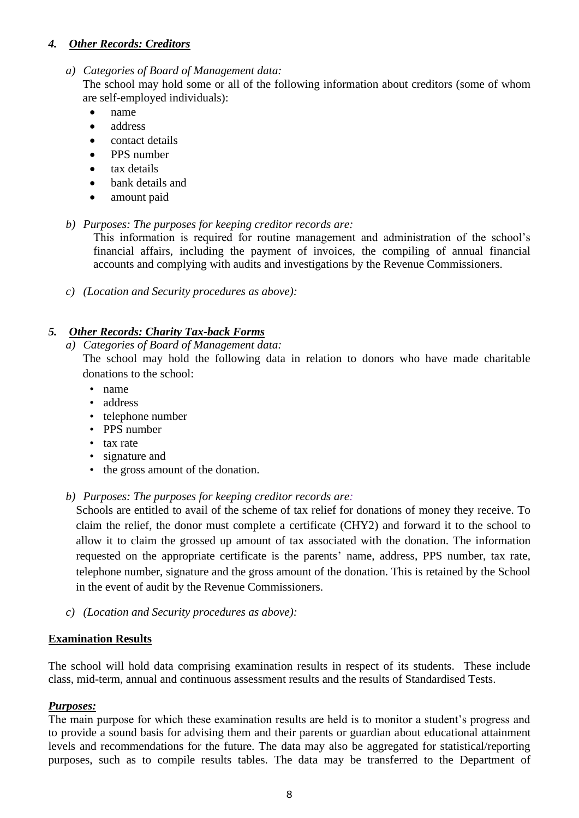#### *4. Other Records: Creditors*

*a) Categories of Board of Management data:*

The school may hold some or all of the following information about creditors (some of whom are self-employed individuals):

- name
- address
- contact details
- PPS number
- tax details
- bank details and
- amount paid
- *b) Purposes: The purposes for keeping creditor records are:*

This information is required for routine management and administration of the school's financial affairs, including the payment of invoices, the compiling of annual financial accounts and complying with audits and investigations by the Revenue Commissioners.

*c) (Location and Security procedures as above):* 

#### *5. Other Records: Charity Tax-back Forms*

*a) Categories of Board of Management data:*

The school may hold the following data in relation to donors who have made charitable donations to the school:

- name
- address
- telephone number
- PPS number
- tax rate
- signature and
- the gross amount of the donation.
- *b) Purposes: The purposes for keeping creditor records are:*

Schools are entitled to avail of the scheme of tax relief for donations of money they receive. To claim the relief, the donor must complete a certificate (CHY2) and forward it to the school to allow it to claim the grossed up amount of tax associated with the donation. The information requested on the appropriate certificate is the parents' name, address, PPS number, tax rate, telephone number, signature and the gross amount of the donation. This is retained by the School in the event of audit by the Revenue Commissioners.

*c) (Location and Security procedures as above):* 

## **Examination Results**

The school will hold data comprising examination results in respect of its students. These include class, mid-term, annual and continuous assessment results and the results of Standardised Tests.

## *Purposes:*

The main purpose for which these examination results are held is to monitor a student's progress and to provide a sound basis for advising them and their parents or guardian about educational attainment levels and recommendations for the future. The data may also be aggregated for statistical/reporting purposes, such as to compile results tables. The data may be transferred to the Department of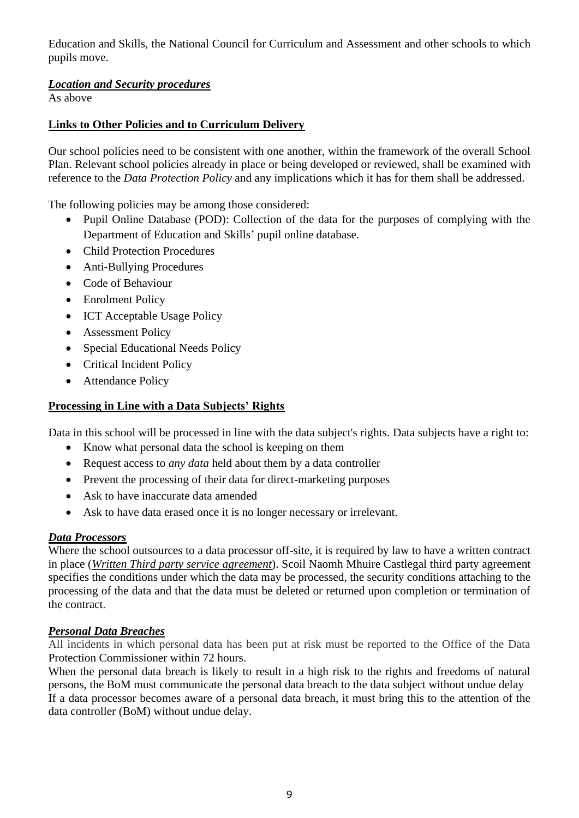Education and Skills, the National Council for Curriculum and Assessment and other schools to which pupils move.

## *Location and Security procedures*

As above

## **Links to Other Policies and to Curriculum Delivery**

Our school policies need to be consistent with one another, within the framework of the overall School Plan. Relevant school policies already in place or being developed or reviewed, shall be examined with reference to the *Data Protection Policy* and any implications which it has for them shall be addressed.

The following policies may be among those considered:

- Pupil Online Database (POD): Collection of the data for the purposes of complying with the Department of Education and Skills' pupil online database.
- Child Protection Procedures
- Anti-Bullying Procedures
- Code of Behaviour
- Enrolment Policy
- ICT Acceptable Usage Policy
- Assessment Policy
- Special Educational Needs Policy
- Critical Incident Policy
- Attendance Policy

## **Processing in Line with a Data Subjects' Rights**

Data in this school will be processed in line with the data subject's rights. Data subjects have a right to:

- Know what personal data the school is keeping on them
- Request access to *any data* held about them by a data controller
- Prevent the processing of their data for direct-marketing purposes
- Ask to have inaccurate data amended
- Ask to have data erased once it is no longer necessary or irrelevant.

## *Data Processors*

Where the school outsources to a data processor off-site, it is required by law to have a written contract in place (*Written Third party service agreement*). Scoil Naomh Mhuire Castlegal third party agreement specifies the conditions under which the data may be processed, the security conditions attaching to the processing of the data and that the data must be deleted or returned upon completion or termination of the contract.

## *Personal Data Breaches*

All incidents in which personal data has been put at risk must be reported to the Office of the Data Protection Commissioner within 72 hours.

When the personal data breach is likely to result in a high risk to the rights and freedoms of natural persons, the BoM must communicate the personal data breach to the data subject without undue delay If a data processor becomes aware of a personal data breach, it must bring this to the attention of the data controller (BoM) without undue delay.